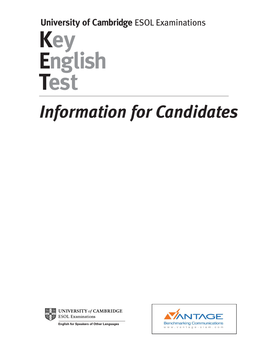## **University of Cambridge** ESOL Examinations **Key English Test**

# *Information for Candidates*



**English for Speakers of Other Languages** 

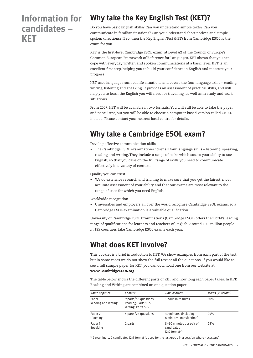## **Information for candidates – KET**

## **Why take the Key English Test (KET)?**

Do you have basic English skills? Can you understand simple texts? Can you communicate in familiar situations? Can you understand short notices and simple spoken directions? If so, then the Key English Test (KET) from Cambridge ESOL is the exam for you.

KET is the first-level Cambridge ESOL exam, at Level A2 of the Council of Europe's Common European Framework of Reference for Languages. KET shows that you can cope with everyday written and spoken communications at a basic level. KET is an excellent first step, helping you to build your confidence in English and measure your progress.

KET uses language from real life situations and covers the four language skills – reading, writing, listening and speaking. It provides an assessment of practical skills, and will help you to learn the English you will need for travelling, as well as in study and work situations.

From 2007, KET will be available in two formats. You will still be able to take the paper and pencil test, but you will be able to choose a computer-based version called CB-KET instead. Please contact your nearest local centre for details.

## **Why take a Cambridge ESOL exam?**

Develop effective communication skills

• The Cambridge ESOL examinations cover all four language skills – listening, speaking, reading and writing. They include a range of tasks which assess your ability to use English, so that you develop the full range of skills you need to communicate effectively in a variety of contexts.

Quality you can trust

• We do extensive research and trialling to make sure that you get the fairest, most accurate assessment of your ability and that our exams are most relevant to the range of uses for which you need English.

Worldwide recognition

• Universities and employers all over the world recognise Cambridge ESOL exams, so a Cambridge ESOL examination is a valuable qualification.

University of Cambridge ESOL Examinations (Cambridge ESOL) offers the world's leading range of qualifications for learners and teachers of English. Around 1.75 million people in 135 countries take Cambridge ESOL exams each year.

## **What does KET involve?**

This booklet is a brief introduction to KET. We show examples from each part of the test, but in some cases we do not show the full text or all the questions. If you would like to see a full sample paper for KET, you can download one from our website at:

#### **www.CambridgeESOL.org**

The table below shows the different parts of KET and how long each paper takes. In KET, Reading and Writing are combined on one question paper.

| Name of paper                  | Content                                                          | Time allowed                                                           | Marks (% of total) |
|--------------------------------|------------------------------------------------------------------|------------------------------------------------------------------------|--------------------|
| Paper 1<br>Reading and Writing | 9 parts/56 questions<br>Reading: Parts 1-5<br>Writing: Parts 6-9 | 1 hour 10 minutes                                                      | 50%                |
| Paper 2<br>Listening           | 5 parts/25 questions                                             | 30 minutes (including)<br>8 minutes' transfer time)                    | 25%                |
| Paper 3<br>Speaking            | 2 parts                                                          | 8-10 minutes per pair of<br>candidates<br>$(2:2$ format <sup>*</sup> ) | 25%                |

\* 2 examiners, 2 candidates (2:3 format is used for the last group in a session where necessary)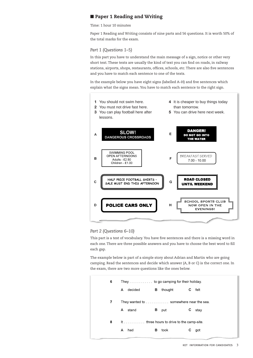#### ■ **Paper 1 Reading and Writing**

#### Time: 1 hour 10 minutes

Paper 1 Reading and Writing consists of nine parts and 56 questions. It is worth 50% of the total marks for the exam.

#### *Part 1 (Questions 1–5)*

In this part you have to understand the main message of a sign, notice or other very short text. These texts are usually the kind of text you can find on roads, in railway stations, airports, shops, restaurants, offices, schools, etc. There are also five sentences and you have to match each sentence to one of the texts.

In the example below you have eight signs (labelled A–H) and five sentences which explain what the signs mean. You have to match each sentence to the right sign.



#### Part 2 (Questions 6–10)

This part is a test of vocabulary. You have five sentences and there is a missing word in each one. There are three possible answers and you have to choose the best word to fill each gap.

The example below is part of a simple story about Adrian and Martin who are going camping. Read the sentences and decide which answer (A, B or C) is the correct one. In comping, read the sentences and accrde which answer (1, 2)<br>the exam, there are two more questions like the ones below. Read the sentences and here are two more questi

| 6 |              | They $\dots \dots \dots$ to go camping for their holiday. |           |
|---|--------------|-----------------------------------------------------------|-----------|
|   | decided<br>A | в<br>thought                                              | C felt    |
| 7 |              | They wanted to somewhere near the sea.                    |           |
|   | stand<br>A   | в<br>put                                                  | С<br>stav |
| 8 |              | $It$ three hours to drive to the camp-site.               |           |
|   | had<br>А     | took<br>в                                                 | с<br>got  |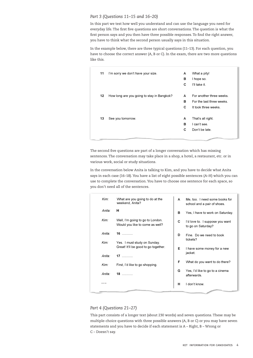#### *Part 3 (Questions 11–15 and 16–20)*

In this part we test how well you understand and can use the language you need for everyday life. The first five questions are short conversations. The question is what the first person says and you then have three possible responses. To find the right answer, you have to think what the second person usually says in this situation.

In the example below, there are three typical questions (11–13). For each question, you have to choose the correct answer (A, B or C). In the exam, there are two more questions like this.

| 11      | I'm sorry we don't have your size.         | A<br>в<br>C | What a pity!<br>I hope so.<br>I'll take it.                                  |
|---------|--------------------------------------------|-------------|------------------------------------------------------------------------------|
| $12 \,$ | How long are you going to stay in Bangkok? | A<br>в<br>C | For another three weeks.<br>For the last three weeks.<br>It took three weeks |
| 13      | See you tomorrow.                          | A<br>в<br>C | That's all right.<br>I can't see.<br>Don't be late.                          |

The second five questions are part of a longer conversation which has missing sentences. The conversation may take place in a shop, a hotel, a restaurant, etc. or in various work, social or study situations.

In the conversation below Anita is talking to Kim, and you have to decide what Anita says in each case (16–18). You have a list of eight possible sentences (A–H) which you can use to complete the conversation. You have to choose one sentence for each space, so you don't need all of the sentences.

| Kim:   | What are you going to do at the<br>weekend, Anita?                   | A | Me, too. I need some books for<br>school and a pair of shoes. |
|--------|----------------------------------------------------------------------|---|---------------------------------------------------------------|
| Anita: | н                                                                    | в | Yes, I have to work on Saturday.                              |
| Kim:   | Well, I'm going to go to London.<br>Would you like to come as well?  | C | I'd love to. I suppose you want<br>to go on Saturday?         |
| Anita: | $16 \quad \text{or} \quad$                                           | D | Fine. Do we need to book                                      |
| Kim:   | Yes. I must study on Sunday.<br>Great! It'll be good to go together. | Е | tickets?<br>I have some money for a new                       |
| Anita: | 17                                                                   |   | jacket.                                                       |
| Kim:   | First, I'd like to go shopping.                                      | F | What do you want to do there?                                 |
| Anita: | 18                                                                   | G | Yes, I'd like to go to a cinema<br>afterwards.                |
|        |                                                                      | н | I don't know                                                  |
|        |                                                                      |   |                                                               |

#### *Part 4 (Questions 21–27)*

This part consists of a longer text (about 230 words) and seven questions. These may be multiple-choice questions with three possible answers (A, B or C) or you may have seven statements and you have to decide if each statement is A – Right, B – Wrong or C – Doesn't say.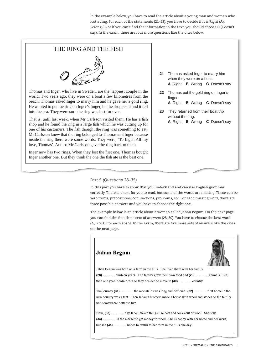In the example below, you have to read the article about a young man and woman who lost a ring. For each of the statements (21–23), you have to decide if it is Right (A), Wrong (B) or if you can't find the information in the text, you should choose C (Doesn't say). In the exam, there are four more questions like the ones below.

### THE RING AND THE FISH Thomas and Inger, who live in Sweden, are the happiest couple in the world. Two years ago, they were on a boat a few kilometres from the beach. Thomas asked Inger to marry him and he gave her a gold ring. He wanted to put the ring on Inger's finger, but he dropped it and it fell into the sea. They were sure the ring was lost for ever. That is, until last week, when Mr Carlsson visited them. He has a fish shop and he found the ring in a large fish which he was cutting up for one of his customers. The fish thought the ring was something to eat! Mr Carlsson knew that the ring belonged to Thomas and Inger because inside the ring there were some words. They were, 'To Inger, All my love, Thomas'. And so Mr Carlsson gave the ring back to them. Inger now has two rings. When they lost the first one, Thomas bought Inger another one. But they think the one the fish ate is the best one.

#### **21** Thomas asked Inger to marry him when they were on a boat. **A** Right **B** Wrong **C** Doesn't say

- **22** Thomas put the gold ring on Inger's finger.
	- **A** Right **B** Wrong **C** Doesn't say
- **23** They returned from their boat trip without the ring. **A** Right **B** Wrong **C** Doesn't say

#### *Part 5 (Questions 28–35)*

In this part you have to show that you understand and can use English grammar correctly. There is a text for you to read, but some of the words are missing. These can be verb forms, prepositions, conjunctions, pronouns, etc. For each missing word, there are three possible answers and you have to choose the right one.

The example below is an article about a woman called Jahan Begum. On the next page you can find the first three sets of answers (28–30). You have to choose the best word (A, B or C) for each space. In the exam, there are five more sets of answers like the ones on the next page.

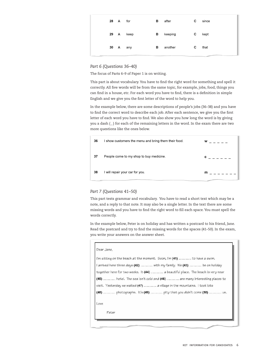|      | 28 A for |      | в | after   | C | since |
|------|----------|------|---|---------|---|-------|
| 29 A |          | keep | в | keeping | C | kept  |
| 30 A |          | any  | в | another | C | that  |
|      |          |      |   |         |   |       |

#### *Part 6 (Questions 36–40)*

The focus of Parts 6–9 of Paper 1 is on writing.

This part is about vocabulary. You have to find the right word for something and spell it correctly. All five words will be from the same topic, for example, jobs, food, things you can find in a house, etc. For each word you have to find, there is a definition in simple English and we give you the first letter of the word to help you.

In the example below, there are some descriptions of people's jobs (36–38) and you have to find the correct word to describe each job. After each sentence, we give you the first letter of each word you have to find. We also show you how long the word is by giving you a dash (\_) for each of the remaining letters in the word. In the exam there are two more questions like the ones below.

| 36 | I show customers the menu and bring them their food. | w |
|----|------------------------------------------------------|---|
| 37 | People come to my shop to buy medicine.              | c |
| 38 | I will repair your car for you.                      | m |

#### *Part 7 (Questions 41–50)*

This part tests grammar and vocabulary. You have to read a short text which may be a note, and a reply to that note. It may also be a single letter. In the text there are some missing words and you have to find the right word to fill each space. You must spell the words correctly.

In the example below, Peter is on holiday and has written a postcard to his friend, Jane. Read the postcard and try to find the missing words for the spaces (41–50). In the exam, you write your answers on the answer sheet.

|       | I'm sitting on the beach at the moment. Soon, I'm (41)  to have a swim.         |
|-------|---------------------------------------------------------------------------------|
|       | arrived here three days (42)  with my family. We (43)  be on holiday            |
|       | together here for two weeks. It (44)  a beautiful place. The beach is very near |
|       | (45)  hotel. The sea isn't cold and (46)  are many interesting places to        |
|       | visit. Yesterday we walked (47)  a village in the mountains. I took lots        |
|       | (48)  photographs. It's (49)  pity that you didn't come (50)  us.               |
| Love  |                                                                                 |
| Peter |                                                                                 |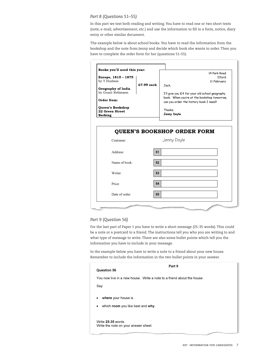#### *Part 8 (Questions 51–55)*

In this part we test both reading and writing. You have to read one or two short texts (note, e-mail, advertisement, etc.) and use the information to fill in a form, notice, diary entry or other similar document.

The example below is about school books. You have to read the information from the bookshop and the note from Jenny and decide which book she wants to order. Then you have to complete the order form for her (questions 51–55).

| Books you'll need this year: |            | 14 Park Road                                      |
|------------------------------|------------|---------------------------------------------------|
| Europe, 1815 - 1875          |            | <b>Ilford</b>                                     |
| by T Hudson                  | £7.99 each | 11 February                                       |
| Geography of India           |            | Jack.                                             |
| by Grant Robinson            |            | I'll give you £4 for your old school geography    |
|                              |            | book. When you're at the bookshop tomorrow,       |
| Order from:                  |            | can you order the history book I need?            |
| Queen's Bookshop             |            |                                                   |
| 22 Green Street              |            | Thanks.<br>Jenny Doyle                            |
| <b>Barking</b>               |            |                                                   |
| Customer:                    |            | <b>QUEEN'S BOOKSHOP ORDER FORM</b><br>Jenny Doyle |
| Address <sup>-</sup>         |            | 51                                                |
|                              |            |                                                   |
| Name of book:                |            | 52                                                |
|                              |            |                                                   |
| Writer <sup>.</sup>          |            | 53                                                |
|                              |            |                                                   |
| Price:                       |            | 54                                                |
| Date of order:               |            | 55                                                |

#### *Part 9 (Question 56)*

For the last part of Paper 1 you have to write a short message (25–35 words). This could be a note or a postcard to a friend. The instructions tell you who you are writing to and what type of message to write. There are also some bullet points which tell you the information you have to include in your message.

In the example below you have to write a note to a friend about your new house. Remember to include the information in the two bullet points in your answer.

| Part 9<br>Question 56                                                              |  |
|------------------------------------------------------------------------------------|--|
| You now live in a new house. Write a note to a friend about the house.             |  |
| Say:                                                                               |  |
| where your house is<br>$\bullet$<br>which room you like best and why.<br>$\bullet$ |  |
| Write 25-35 words.<br>Write the note on your answer sheet.                         |  |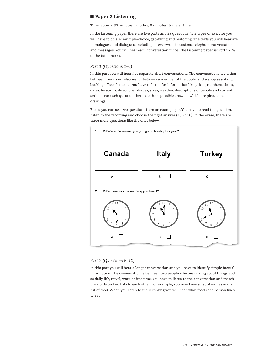#### ■ **Paper 2 Listening**

Time: approx. 30 minutes including 8 minutes' transfer time

In the Listening paper there are five parts and 25 questions. The types of exercise you will have to do are: multiple-choice, gap-filling and matching. The texts you will hear are monologues and dialogues, including interviews, discussions, telephone conversations and messages. You will hear each conversation twice. The Listening paper is worth 25% of the total marks.

#### *Part 1 (Questions 1–5)*

In this part you will hear five separate short conversations. The conversations are either between friends or relatives, or between a member of the public and a shop assistant, booking office clerk, etc. You have to listen for information like prices, numbers, times, dates, locations, directions, shapes, sizes, weather, descriptions of people and current actions. For each question there are three possible answers which are pictures or drawings.

Below you can see two questions from an exam paper. You have to read the question, listen to the recording and choose the right answer (A, B or C). In the exam, there are three more questions like the ones below.



*Part 2 (Questions 6–10)*

In this part you will hear a longer conversation and you have to identify simple factual information. The conversation is between two people who are talking about things such as daily life, travel, work or free time. You have to listen to the conversation and match the words on two lists to each other. For example, you may have a list of names and a list of food. When you listen to the recording you will hear what food each person likes to eat.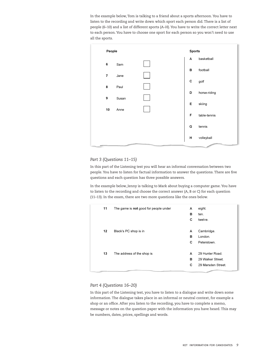In the example below, Tom is talking to a friend about a sports afternoon. You have to listen to the recording and write down which sport each person did. There is a list of people (6–10) and a list of different sports (A–H). You have to write the correct letter next to each person. You have to choose one sport for each person so you won't need to use all the sports.



#### *Part 3 (Questions 11–15)*

In this part of the Listening test you will hear an informal conversation between two people. You have to listen for factual information to answer the questions. There are five questions and each question has three possible answers.

In the example below, Jenny is talking to Mark about buying a computer game. You have to listen to the recording and choose the correct answer (A, B or C) for each question (11–13). In the exam, there are two more questions like the ones below.

| 11 | The game is not good for people under | A<br>в<br>C | eight.<br>ten.<br>twelve.                                  |
|----|---------------------------------------|-------------|------------------------------------------------------------|
| 12 | Black's PC shop is in                 | A<br>в<br>C | Cambridge.<br>London.<br>Peterstown.                       |
| 13 | The address of the shop is            | A<br>в<br>C | 29 Hunter Road.<br>29 Walker Street.<br>29 Marsden Street. |

#### *Part 4 (Questions 16–20)*

In this part of the Listening test, you have to listen to a dialogue and write down some information. The dialogue takes place in an informal or neutral context, for example a shop or an office. After you listen to the recording, you have to complete a memo, message or notes on the question paper with the information you have heard. This may be numbers, dates, prices, spellings and words.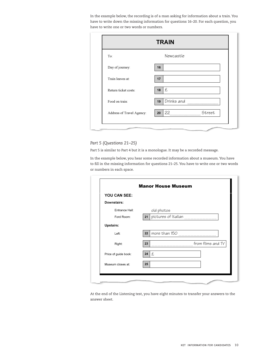In the example below, the recording is of a man asking for information about a train. You have to write down the missing information for questions 16–20. For each question, you have to write one or two words or numbers.

| To:                       | Newcastle           |
|---------------------------|---------------------|
| Day of journey:           | 16                  |
| Train leaves at:          | 17                  |
| Return ticket costs:      | $\mathcal{L}$<br>18 |
| Food on train:            | Drinks and<br>19    |
| Address of Travel Agency: | 22<br>Street<br>20  |

#### *Part 5 (Questions 21–25)*

Part 5 is similar to Part 4 but it is a monologue. It may be a recorded message.

In the example below, you hear some recorded information about a museum. You have to fill in the missing information for questions 21–25. You have to write one or two words or numbers in each space.

| YOU CAN SEE:         |                         |
|----------------------|-------------------------|
| Downstairs:          |                         |
| Entrance Hall:       | old photos              |
| Ford Room:           |                         |
| <b>Upstairs:</b>     |                         |
| Left:                | more than 150<br>22     |
| Right:               | from films and TV<br>23 |
| Price of guide book: | 24 $E$                  |
| Museum closes at:    | 25                      |

At the end of the Listening test, you have eight minutes to transfer your answers to the answer sheet.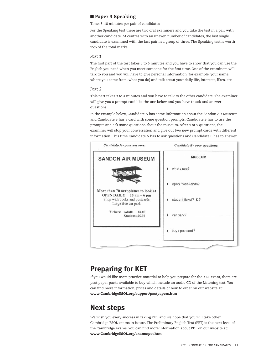#### ■ **Paper 3 Speaking**

Time: 8–10 minutes per pair of candidates

For the Speaking test there are two oral examiners and you take the test in a pair with another candidate. At centres with an uneven number of candidates, the last single candidate is examined with the last pair in a group of three. The Speaking test is worth 25% of the total marks.

#### *Part 1*

The first part of the test takes 5 to 6 minutes and you have to show that you can use the English you need when you meet someone for the first time. One of the examiners will talk to you and you will have to give personal information (for example, your name, where you come from, what you do) and talk about your daily life, interests, likes, etc.

#### *Part 2*

This part takes 3 to 4 minutes and you have to talk to the other candidate. The examiner will give you a prompt card like the one below and you have to ask and answer questions.

In the example below, Candidate A has some information about the Sandon Air Museum and Candidate B has a card with some question prompts. Candidate B has to use the prompts and ask some questions about the museum. After 4 or 5 questions, the examiner will stop your conversation and give out two new prompt cards with different information. This time Candidate A has to ask questions and Candidate B has to answer.



## **Preparing for KET**

If you would like more practice material to help you prepare for the KET exam, there are past paper packs available to buy which include an audio CD of the Listening test. You can find more information, prices and details of how to order on our website at: **www.CambridgeESOL.org/support/pastpapers.htm**

## **Next steps**

We wish you every success in taking KET and we hope that you will take other Cambridge ESOL exams in future. The Preliminary English Test (PET) is the next level of the Cambridge exams. You can find more information about PET on our website at: **www.CambridgeESOL.org/exams/pet.htm**

ket information for candidates 11